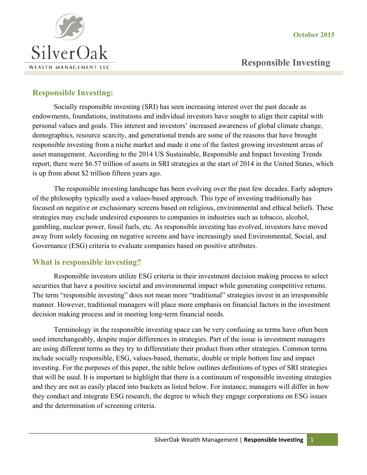**October 2015** 



# **Responsible Investing**

# **Responsible Investing:**

Socially responsible investing (SRI) has seen increasing interest over the past decade as endowments, foundations, institutions and individual investors have sought to align their capital with personal values and goals. This interest and investors' increased awareness of global climate change, demographics, resource scarcity, and generational trends are some of the reasons that have brought responsible investing from a niche market and made it one of the fastest growing investment areas of asset management. According to the 2014 US Sustainable, Responsible and Impact Investing Trends report, there were \$6.57 trillion of assets in SRI strategies at the start of 2014 in the United States, which is up from about \$2 trillion fifteen years ago.

The responsible investing landscape has been evolving over the past few decades. Early adopters of the philosophy typically used a values-based approach. This type of investing traditionally has focused on negative or exclusionary screens based on religious, environmental and ethical beliefs. These strategies may exclude undesired exposures to companies in industries such as tobacco, alcohol, gambling, nuclear power, fossil fuels, etc. As responsible investing has evolved, investors have moved away from solely focusing on negative screens and have increasingly used Environmental, Social, and Governance (ESG) criteria to evaluate companies based on positive attributes.

# **What is responsible investing?**

Responsible investors utilize ESG criteria in their investment decision making process to select securities that have a positive societal and environmental impact while generating competitive returns. The term "responsible investing" does not mean more "traditional" strategies invest in an irresponsible manner. However, traditional managers will place more emphasis on financial factors in the investment decision making process and in meeting long-term financial needs.

Terminology in the responsible investing space can be very confusing as terms have often been used interchangeably, despite major differences in strategies. Part of the issue is investment managers are using different terms as they try to differentiate their product from other strategies. Common terms include socially responsible, ESG, values-based, thematic, double or triple bottom line and impact investing. For the purposes of this paper, the table below outlines definitions of types of SRI strategies that will be used. It is important to highlight that there is a continuum of responsible investing strategies and they are not as easily placed into buckets as listed below. For instance, managers will differ in how they conduct and integrate ESG research, the degree to which they engage corporations on ESG issues and the determination of screening criteria.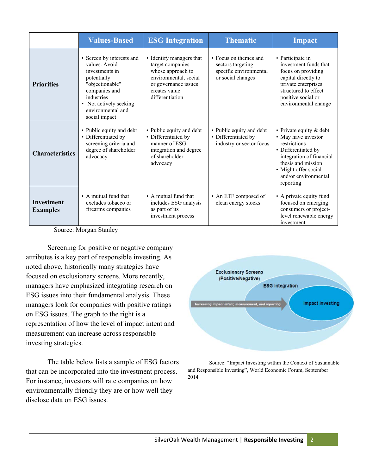|                                      | <b>Values-Based</b>                                                                                                                                                                           | <b>ESG Integration</b>                                                                                                                                 | <b>Thematic</b>                                                                           | <b>Impact</b>                                                                                                                                                                                          |
|--------------------------------------|-----------------------------------------------------------------------------------------------------------------------------------------------------------------------------------------------|--------------------------------------------------------------------------------------------------------------------------------------------------------|-------------------------------------------------------------------------------------------|--------------------------------------------------------------------------------------------------------------------------------------------------------------------------------------------------------|
| <b>Priorities</b>                    | • Screen by interests and<br>values. Avoid<br>investments in<br>potentially<br>"objectionable"<br>companies and<br>industries<br>• Not actively seeking<br>environmental and<br>social impact | • Identify managers that<br>target companies<br>whose approach to<br>environmental, social<br>or governance issues<br>creates value<br>differentiation | • Focus on themes and<br>sectors targeting<br>specific environmental<br>or social changes | • Participate in<br>investment funds that<br>focus on providing<br>capital directly to<br>private enterprises<br>structured to effect<br>positive social or<br>environmental change                    |
| <b>Characteristics</b>               | • Public equity and debt<br>• Differentiated by<br>screening criteria and<br>degree of shareholder<br>advocacy                                                                                | • Public equity and debt<br>• Differentiated by<br>manner of ESG<br>integration and degree<br>of shareholder<br>advocacy                               | • Public equity and debt<br>• Differentiated by<br>industry or sector focus               | • Private equity $&$ debt<br>• May have investor<br>restrictions<br>• Differentiated by<br>integration of financial<br>thesis and mission<br>• Might offer social<br>and/or environmental<br>reporting |
| <b>Investment</b><br><b>Examples</b> | • A mutual fund that<br>excludes tobacco or<br>firearms companies                                                                                                                             | • A mutual fund that<br>includes ESG analysis<br>as part of its<br>investment process                                                                  | • An ETF composed of<br>clean energy stocks                                               | • A private equity fund<br>focused on emerging<br>consumers or project-<br>level renewable energy<br>investment                                                                                        |

Source: Morgan Stanley

Screening for positive or negative company attributes is a key part of responsible investing. As noted above, historically many strategies have focused on exclusionary screens. More recently, managers have emphasized integrating research on ESG issues into their fundamental analysis. These managers look for companies with positive ratings on ESG issues. The graph to the right is a representation of how the level of impact intent and measurement can increase across responsible investing strategies.

The table below lists a sample of ESG factors that can be incorporated into the investment process. For instance, investors will rate companies on how environmentally friendly they are or how well they disclose data on ESG issues.



Source: "Impact Investing within the Context of Sustainable and Responsible Investing", World Economic Forum, September 2014.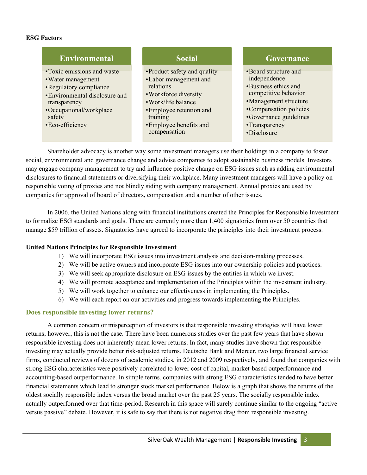### **ESG Factors**

## **Environmental**

- •Toxic emissions and waste
- •Water management
- •Regulatory compliance
- •Environmental disclosure and transparency
- •Occupational/workplace safety
- •Eco-efficiency

# **Social**

- •Product safety and quality
- •Labor management and relations
- •Workforce diversity
- •Work/life balance
- •Employee retention and training
- •Employee benefits and compensation

### **Governance**

- •Board structure and independence
- •Business ethics and competitive behavior
- •Management structure
- •Compensation policies
- •Governance guidelines
- •Transparency
- •Disclosure

 Shareholder advocacy is another way some investment managers use their holdings in a company to foster social, environmental and governance change and advise companies to adopt sustainable business models. Investors may engage company management to try and influence positive change on ESG issues such as adding environmental disclosures to financial statements or diversifying their workplace. Many investment managers will have a policy on responsible voting of proxies and not blindly siding with company management. Annual proxies are used by companies for approval of board of directors, compensation and a number of other issues.

In 2006, the United Nations along with financial institutions created the Principles for Responsible Investment to formalize ESG standards and goals. There are currently more than 1,400 signatories from over 50 countries that manage \$59 trillion of assets. Signatories have agreed to incorporate the principles into their investment process.

#### **United Nations Principles for Responsible Investment**

- 1) We will incorporate ESG issues into investment analysis and decision-making processes.
- 2) We will be active owners and incorporate ESG issues into our ownership policies and practices.
- 3) We will seek appropriate disclosure on ESG issues by the entities in which we invest.
- 4) We will promote acceptance and implementation of the Principles within the investment industry.
- 5) We will work together to enhance our effectiveness in implementing the Principles.
- 6) We will each report on our activities and progress towards implementing the Principles.

## **Does responsible investing lower returns?**

 A common concern or misperception of investors is that responsible investing strategies will have lower returns; however, this is not the case. There have been numerous studies over the past few years that have shown responsible investing does not inherently mean lower returns. In fact, many studies have shown that responsible investing may actually provide better risk-adjusted returns. Deutsche Bank and Mercer, two large financial service firms, conducted reviews of dozens of academic studies, in 2012 and 2009 respectively, and found that companies with strong ESG characteristics were positively correlated to lower cost of capital, market-based outperformance and accounting-based outperformance. In simple terms, companies with strong ESG characteristics tended to have better financial statements which lead to stronger stock market performance. Below is a graph that shows the returns of the oldest socially responsible index versus the broad market over the past 25 years. The socially responsible index actually outperformed over that time-period. Research in this space will surely continue similar to the ongoing "active versus passive" debate. However, it is safe to say that there is not negative drag from responsible investing.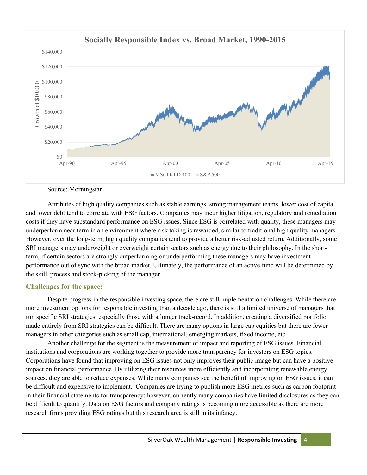

Source: Morningstar

Attributes of high quality companies such as stable earnings, strong management teams, lower cost of capital and lower debt tend to correlate with ESG factors. Companies may incur higher litigation, regulatory and remediation costs if they have substandard performance on ESG issues. Since ESG is correlated with quality, these managers may underperform near term in an environment where risk taking is rewarded, similar to traditional high quality managers. However, over the long-term, high quality companies tend to provide a better risk-adjusted return. Additionally, some SRI managers may underweight or overweight certain sectors such as energy due to their philosophy. In the shortterm, if certain sectors are strongly outperforming or underperforming these managers may have investment performance out of sync with the broad market. Ultimately, the performance of an active fund will be determined by the skill, process and stock-picking of the manager.

## **Challenges for the space:**

Despite progress in the responsible investing space, there are still implementation challenges. While there are more investment options for responsible investing than a decade ago, there is still a limited universe of managers that run specific SRI strategies, especially those with a longer track-record. In addition, creating a diversified portfolio made entirely from SRI strategies can be difficult. There are many options in large cap equities but there are fewer managers in other categories such as small cap, international, emerging markets, fixed income, etc.

Another challenge for the segment is the measurement of impact and reporting of ESG issues. Financial institutions and corporations are working together to provide more transparency for investors on ESG topics. Corporations have found that improving on ESG issues not only improves their public image but can have a positive impact on financial performance. By utilizing their resources more efficiently and incorporating renewable energy sources, they are able to reduce expenses. While many companies see the benefit of improving on ESG issues, it can be difficult and expensive to implement. Companies are trying to publish more ESG metrics such as carbon footprint in their financial statements for transparency; however, currently many companies have limited disclosures as they can be difficult to quantify. Data on ESG factors and company ratings is becoming more accessible as there are more research firms providing ESG ratings but this research area is still in its infancy.